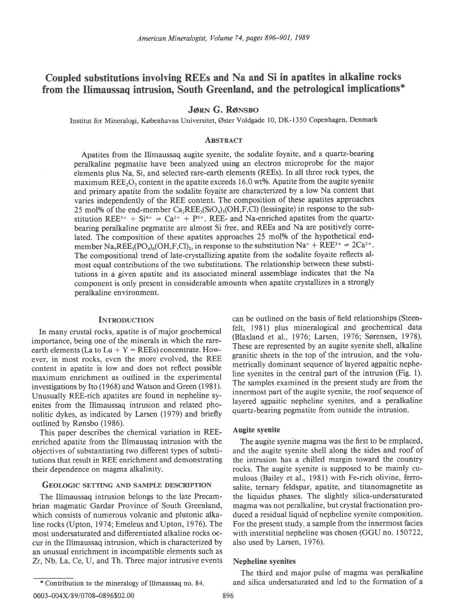# Coupled substitutions involving REEs and Na and Si in apatites in alkaline rocks from the Ilimaussaq intrusion, South Greenland, and the petrological implications\*

**JØRN G. RØNSBO** 

Institut for Mineralogi, Kobenhavns Universitet, Oster Voldgade 10, DK-1350 Copenhagen, Denmark

# **ARSTRACT**

Apatites from the Ilimaussaq augite syenite, the sodalite foyaite, and a quartz-bearing peralkaline pegmatite have been analyzed using an electron microprobe for the major elements plus Na, Si, and selected rare-earth elements (REEs). In all three rock types, the maximum REE, $O<sub>3</sub>$  content in the apatite exceeds 16.0 wt%. Apatite from the augite syenite and primary apatite from the sodalite foyaite are characterized by a low Na content that varies independently of the REE content. The composition of these apatites approaches 25 mol% of the end-member  $Ca<sub>2</sub>REE<sub>3</sub>(SiO<sub>4</sub>)<sub>3</sub>(OH,F,CI)$  (lessingite) in response to the substitution REE<sub>3+</sub> + S<sub>i<sup>4+</sup></sub>  $\Rightarrow$  Ca<sub>2+</sub> + P<sub>5+</sub>. REE<sub>-</sub> and Na-enriched apatites from the quartzbearing peralkaline pegmatite are almost Si free, and REEs and Na are positively correlated. The composition of these apatites approaches 25 mol% of the hypothetical endmember Na<sub>5</sub>REE<sub>5</sub>(PO<sub>4</sub>)<sub>6</sub>(OH,F,Cl)<sub>2</sub>, in response to the substitution Na<sup>+</sup> + REE<sup>3+</sup>  $\Rightarrow$  2Ca<sup>2+</sup>. The compositional trend of late-crystalllzing apatite from the sodalite foyaite reflects almost equal contributions of the two substitutions. The relationship between these substitutions in a given apatite and its associated mineral assemblage indicates that the Na component is only present in considerable amounts when apatite crystallizes in a strongly peralkaline environment.

## **INTRODUCTION**

In many crustal rocks, apatite is of major geochemical importance, being one of the minerals in which the rareearth elements (La to Lu +  $Y = REEs$ ) concentrate. However, in most rocks, even the more evolved, the REE content in apatite is low and does not reflect possible maximum enrichment as outlined in the experimental investigations by Ito (1968) and Watson and Green (1981). Unusually REE-rich apatites are found in nepheline syenites from the Ilimaussaq intrusion and related phonolitic dykes, as indicated by Larsen (1979) and briefly outlined by Ronsbo (1986).

This paper describes the chemical variation in REEenriched apatite from the Ilimaussaq intrusion with the objectives of substantiating two different types of substitutions that result in REE enrichment and demonstrating their dependence on magma alkalinity.

# GEOLOGIC SETTING AND SAMPLE DESCRIPTION

The Ilimaussaq intrusion belongs to the late Precambrian magmatic Gardar Province of South Greenland, which consists of numerous volcanic and plutonic alkaline rocks (Upton, 1974; Emeleus and Upton, 1976). The most undersaturated and differentiated alkaline rocks occur in the Ilimaussaq intrusion, which is characterized by an unusual enrichment in incompatible elements such as Zr, Nb, La, Ce, U, and Th. Three major intrusive events

\* Contribution to the mineralogy of Ilimaussaq no. 84.

can be outlined on the basis of field relationships (Steenfelt, 1981) plus mineralogical and geochemical data (Blaxland et al., 1976; Larsen, 1976; Sørensen, 1978). These are represented by an augite syenite shell, alkaline granitic sheets in the top of the intrusion, and the volumetrically dominant sequence of layered agpaitic nepheline syenites in the central part of the intrusion (Fig. l). The samples examined in the present study are from the innermost part of the augite syenite, the roof sequence of layered agpaitic nepheline syenites, and a peralkaline quartz-bearing pegmatite from outside the intrusion.

## Augite syenite

The augite syenite magma was the first to be emplaced, and the augite syenite shell along the sides and roof of the intrusion has a chilled margin toward the country rocks. The augite syenite is supposed to be mainly cumulous (Bailey et al., l98l) with Fe-rich olivine, ferrosalite, ternary feldspar, apatite, and titanomagnetite as the liquidus phases. The slightly silica-undersaturated magma was not peralkaline, but crystal fractionation produced a residual liquid of nepheline syenite composition. For the present study, a sample from the innermost facies with interstitial nepheline was chosen (GGU no. 150722, also used by Larsen, 1976).

#### Nepheline syenites

The third and major pulse of magma was peralkaline and silica undersaturated and led to the formation of a

896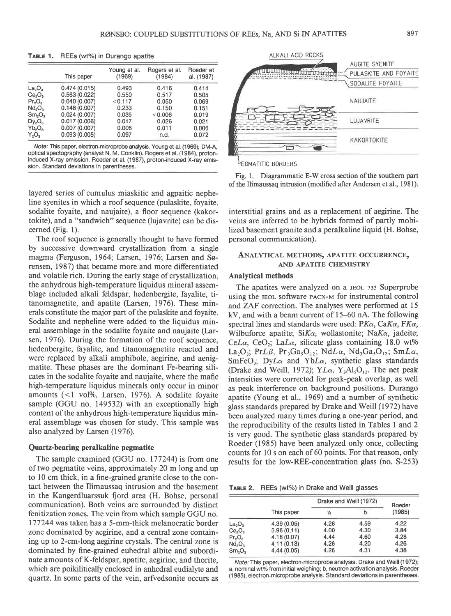|                                | This paper   | Young et al.<br>(1969) | Rogers et al.<br>(1984) | Roeder et<br>al. (1987) |
|--------------------------------|--------------|------------------------|-------------------------|-------------------------|
| $La_2O_3$                      | 0.474(0.015) | 0.493                  | 0.416                   | 0.414                   |
| Ce <sub>2</sub> O <sub>3</sub> | 0.563(0.022) | 0.550                  | 0.517                   | 0.505                   |
| $Pr_3O_3$                      | 0.040(0.007) | < 0.117                | 0.050                   | 0.069                   |
| Nd <sub>2</sub> O <sub>3</sub> | 0.148(0.007) | 0.233                  | 0.150                   | 0.151                   |
| Sm <sub>2</sub> O <sub>3</sub> | 0.024(0.007) | 0.035                  | < 0.006                 | 0.019                   |
| $Dy_2O_3$                      | 0.017(0.006) | 0.017                  | 0.026                   | 0.021                   |
| $Yb_2O_3$                      | 0.007(0.007) | 0.006                  | 0.011                   | 0.006                   |
| $Y_2O_3$                       | 0.093(0.005) | 0.097                  | n.d.                    | 0.072                   |

TABLE 1. REEs (wt%) in Durango apatite

Note: This paper, electron-microprobe analysis. Young et al. (1969); DM-A, optical spectography (analyst N. M. Conklin). Rogers et al. (1984), protoninduced X-ray emission. Roeder et al. (1987), proton-induced X-ray emission. Standard deviations in parentheses.

layered series of cumulus miaskitic and agpaitic nepheline syenites in which a roof sequence (pulaskite, foyaite, sodalite foyaite, and naujaite), a floor sequence (kakortokite), and a "sandwich" sequence (lujavrite) can be discerned (Fig. l).

The roof sequence is generally thought to have formed by successive downward crystallization from a single magma (Ferguson, 1964; Larsen, 1976; Larsen and Sørensen, 1987) that became more and more differentiated and volatile rich. During the early stage of crystallization, the anhydrous high-temperature liquidus mineral assemblage included alkali feldspar, hedenbergite, fayalite, titanomagnetite, and apatite (Larsen, 1976). These minerals constitute the major part of the pulaskite and foyaite. Sodalite and nepheline were added to the liquidus mineral assemblage in the sodalite foyaite and naujaite (Larsen, 1976). During the formation of the roof sequence, hedenbergite, fayalite, and titanomagnetite reacted and were replaced by alkali amphibole, aegirine, and aenigmatite. These phases are the dominant Fe-bearing silicates in the sodalite foyaite and naujaite, where the mafic high-temperature liquidus minerals only occur in minor amounts  $($  1 vol%, Larsen, 1976). A sodalite foyaite sample (GGU no. 149532) with an exceptionally high content of the anhydrous high-temperature liquidus mineral assemblage was chosen for study. This sample was also analyzed by Larsen (1976).

#### Quartz-bearing peralkaline pegmatite

The sample examined (GGU no. 177244) is from one of two pegmatite veins, approximately 20 m long and up to 10 cm thick, in a fine-grained granite close to the contact between the Ilimaussaq intrusion and the basement in the Kangerdluarssuk fjord area (H. Bohse, personal communication). Both veins are surrounded by distinct fenitization zones. The vein from which sample GGU no. 177244 was taken has a S-mm-thick melanocratic border zone dominated by aegirine, and a central zone containing up to 2-cm-long aegirine crystals. The central zone is dominated by fine-grained euhedral albite and subordinate amounts of K-feldspar, apatite, aegirine, and thorite, which are poikilitically enclosed in anhedral eudialyte and quartz. In some parts of the vein, arfvedsonite occurs as



PEGMATITIC BORDERS

Fig. l. Diagrammatic E-W cross section of the southern part of the Ilimaussaq intrusion (modified after Andersen et al., 1981).

interstitial grains and as a replacement of aegirine. The veins are inferred to be hybrids formed of partly mobilized basement granite and a peralkaline liquid (H. Bohse, personal communication).

# ANALYTICAL METHODS. APATITE OCCURRENCE. AND APATITE CHEMISTRY

# Analytical methods

The apatites were analyzed on a JEOL 733 Superprobe using the JEOL software PACX-M for instrumental control and ZAF correction. The analyses were performed at 15 kV, and with a beam current of 15-60 nA. The following spectral lines and standards were used:  $PK\alpha$ ,  $CaK\alpha$ ,  $FK\alpha$ , Wilbuforce apatite;  $SiKa$ , wollastonite; Na $Ka$ , jadeite; CeLa, CeO<sub>2</sub>; LaLa, silicate glass containing 18.0 wt% La<sub>2</sub>O<sub>3</sub>; PrL $\beta$ , Pr<sub>3</sub>Ga<sub>5</sub>O<sub>12</sub>; NdL $\alpha$ , Nd<sub>3</sub>Ga<sub>5</sub>O<sub>12</sub>; SmL $\alpha$ ,  $SmFeO<sub>3</sub>; DyL<sub>\alpha</sub>$  and YbL $\alpha$ , synthetic glass standards (Drake and Weill, 1972);  $YL\alpha$ ,  $Y_3Al_5O_{12}$ . The net peak intensities were corrected for peak-peak overlap, as well as peak interference on background positions. Durango apatite (Young et al., 1969) and a number of synthetic glass standards prepared by Drake and Weill (1972) have been analyzed many times during a one-year period, and the reproducibility of the results listed in Tables 1 and 2 is very good. The synthetic glass standards prepared by Roeder (1985) have been analyzed only once, collecting counts for 10 s on each of 60 points. For that reason, only results for the low-REE-concentration glass (no. S-253)

TABLE 2. REEs (wt%) in Drake and Weill glasses

|                                | This paper | Drake and Weill (1972) | Roeder |        |
|--------------------------------|------------|------------------------|--------|--------|
|                                |            | а                      |        | (1985) |
| $La_2O_3$                      | 4.39(0.05) | 4.28                   | 4.59   | 4.22   |
| Ce <sub>2</sub> O <sub>3</sub> | 3.96(0.11) | 4.00                   | 4.30   | 3.84   |
| $Pr_2O_3$                      | 4.18(0.07) | 4.44                   | 4.60   | 4.28   |
| Nd <sub>2</sub> O <sub>3</sub> | 4.11(0.13) | 4.26                   | 4.20   | 4.26   |
| Sm <sub>2</sub> O <sub>3</sub> | 4.44(0.05) | 4.26                   | 4.31   | 4.38   |

Note: This paper, electron-microprobe analysis. Drake and Weill (1972); a, nominal wt% from initial weighing; b, neutron activation analysis. Roeder (1985), electron-microprobe analysis. Standard deviations in parentheses.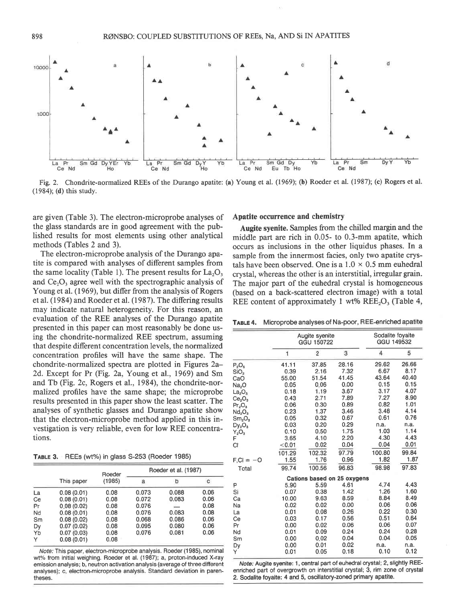

Fig. 2. Chondrite-normalized REEs of the Durango apatite: (a) Young et al. (1969); (b) Roeder et al. (1987); (c) Rogers et al. (1984); (d) this study.

are given (Table 3). The electron-microprobe analyses of the glass standards are in good agreement with the published results for most elements using other analytical methods (Tables 2 and 3).

The electron-microprobe analysis of the Durango apatite is compared with analyses of different samples from the same locality (Table 1). The present results for  $La<sub>2</sub>O<sub>3</sub>$ and  $Ce<sub>2</sub>O<sub>3</sub>$  agree well with the spectrographic analysis of Young et al. (1969), but differ from the analysis of Rogers et al. (1984) and Roeder et al. (1987). The differing results may indicate natural heterogeneity. For this reason, an evaluation of the REE analyses of the Durango apatite presented in this paper can most reasonably be done using the chondrite-normalized REE spectrum, assuming that despite different concentration levels, the normalized concentration profiles will have the same shape. The chondrite-normalized spectra are plotted in Figures 2a-2d. Except for Pr (Fig. 2a, Young et al., 1969) and Sm and Tb (Fig. 2c, Rogers et al., 1984), the chondrite-normalized profiles have the same shape; the microprobe results presented in this paper show the least scatter. The analyses of synthetic glasses and Durango apatite show that the electron-microprobe method applied in this investigation is very reliable, even for low REE concentrations.

TABLE 3. REEs (wt%) in glass 5-253 (Roeder 1985)

|    |            | Roeder<br>(1985) | Roeder et al. (1987) |       |      |  |
|----|------------|------------------|----------------------|-------|------|--|
|    | This paper |                  | a                    | b     | с    |  |
| La | 0.08(0.01) | 0.08             | 0.073                | 0.088 | 0.06 |  |
| Сe | 0.08(0.01) | 0.08             | 0.072                | 0.083 | 0.06 |  |
| Pr | 0.08(0.02) | 0.08             | 0.076                | ∸     | 0.08 |  |
| Nd | 0.08(0.01) | 0.08             | 0.076                | 0.083 | 0.08 |  |
| Sm | 0.08(0.02) | 0.08             | 0.068                | 0.086 | 0.06 |  |
| Dy | 0.07(0.02) | 0.08             | 0.095                | 0.080 | 0.06 |  |
| Yb | 0.07(0.03) | 0.08             | 0.076                | 0.081 | 0.06 |  |
| Y  | 0.08(0.01) | 0.08             |                      |       |      |  |

Note: This paper, electron-microprobe analysis. Roeder (1985), nominal wt% trom initial weighing. Roeder et al. (1987); a, proton-induced X-ray emission analysis; b, neutron activation analysis (average of three different analyses); c, electron-microprobe analysis. Standard deviation in parentheses.

## Apatite occurrence and chemistry

Augite syenite. Samples from the chilled margin and the middle part are rich in 0.05- to 0.3-mm apatite, which occurs as inclusions in the other liquidus phases. In a sample from the innermost facies, only two apatite crystals have been observed. One is a  $1.0 \times 0.5$  mm euhedral crystal, whereas the other is an interstitial, irregular grain. The major part of the euhedral crystal is homogeneous (based on a back-scattered electron image) with a total REE content of approximately 1 wt%  $REE<sub>2</sub>O<sub>3</sub>$  (Table 4,

TABLE 4. Microprobe analyses of Na-poor, REE-enriched apatite

|                                | Augite syenite<br>GGU 150722 |                |                             | Sodalite foyaite<br>GGU 149532 |       |  |
|--------------------------------|------------------------------|----------------|-----------------------------|--------------------------------|-------|--|
|                                | 1                            | $\overline{2}$ | 3                           | 4                              | 5     |  |
| $P_2O_5$                       | 41.11                        | 37.85          | 28.16                       | 29.62                          | 26.66 |  |
| SiO <sub>2</sub>               | 0.39                         | 2.16           | 7.32                        | 6.67                           | 8.17  |  |
| CaO                            | 55.00                        | 51.54          | 41.45                       | 43.64                          | 40.40 |  |
| Na <sub>2</sub> O              | 0.05                         | 0.06           | 0.00                        | 0.15                           | 0.15  |  |
| La <sub>2</sub> O <sub>3</sub> | 0.18                         | 1.19           | 3.67                        | 3.17                           | 4.07  |  |
| Ce <sub>2</sub> O <sub>3</sub> | 0.43                         | 2.71           | 7.89                        | 7.27                           | 8.90  |  |
| Pr <sub>2</sub> O <sub>3</sub> | 0.06                         | 0.30           | 0.89                        | 0.82                           | 1.01  |  |
| Nd <sub>2</sub> O <sub>3</sub> | 0.23                         | 1.37           | 3.46                        | 3.48                           | 4.14  |  |
| Sm <sub>2</sub> O <sub>3</sub> | 0.05                         | 0.32           | 0.67                        | 0.61                           | 0.76  |  |
| $Dy_2O_3$                      | 0.03                         | 0.20           | 0.29                        | n.a.                           | n.a.  |  |
| $Y_2O_3$                       | 0.10                         | 0.50           | 1.75                        | 1.03                           | 1.14  |  |
| F                              | 3.65                         | 4.10           | 2.20                        | 4.30                           | 4.43  |  |
| CI                             | < 0.01                       | 0.02           | 0.04                        | 0.04                           | 0.01  |  |
|                                | 101.29                       | 102.32         | 97.79                       | 100.80                         | 99.84 |  |
| $F.C = -O$                     | 1.55                         | 1.76           | 0.96                        | 1.82                           | 1.87  |  |
| Total                          | 99.74                        | 100.56         | 96.83                       | 98.98                          | 97.83 |  |
|                                |                              |                | Cations based on 25 oxygens |                                |       |  |
| P                              | 5.90                         | 5.59           | 4.61                        | 4.74                           | 4.43  |  |
| Si                             | 0.07                         | 0.38           | 1.42                        | 1.26                           | 1.60  |  |
| Ca                             | 10.00                        | 9.63           | 8.59                        | 8.84                           | 8.49  |  |
| Na                             | 0.02                         | 0.02           | 0.00                        | 0.06                           | 0.06  |  |
| La                             | 0.01                         | 0.08           | 0.26                        | 0.22                           | 0.30  |  |
| Ce                             | 0.03                         | 0.17           | 0.56                        | 0.51                           | 0.64  |  |
| Pr                             | 0.00                         | 0.02           | 0.06                        | 0.06                           | 0.07  |  |
| Nd                             | 0.01                         | 0.09           | 0.24                        | 0.24                           | 0.28  |  |
| S <sub>m</sub>                 | 0.00                         | 0.02           | 0.04                        | 0.04                           | 0.05  |  |
| Dy                             | 0.00                         | 0.01           | 0.02                        | n.a.                           | n.a.  |  |
| Y                              | 0.01                         | 0.05           | 0.18                        | 0.10                           | 0.12  |  |

Note: Augite syenite: 1, central part of euhedral crystal; 2, slightly REEenriched part of overgrowth on interstitial crystal; 3, rim zone of crystal 2. Sodalite foyaite: 4 and 5, oscillatory-zoned primary apatite.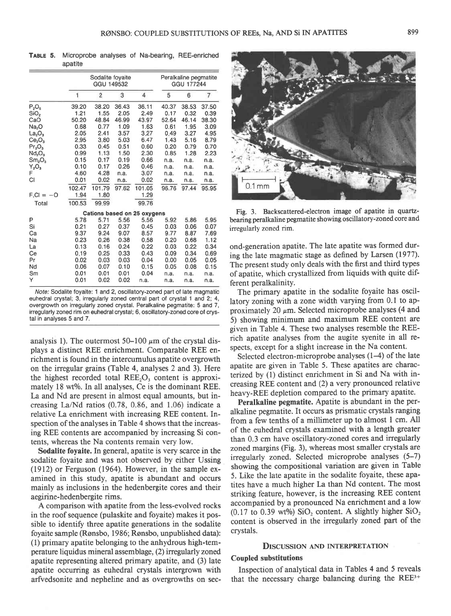|                                | Sodalite foyaite<br>GGU 149532 |        |       | Peralkaline pegmatite<br>GGU 177244 |       |       |                |
|--------------------------------|--------------------------------|--------|-------|-------------------------------------|-------|-------|----------------|
|                                | 1                              | 2      | 3     | 4                                   | 5     | 6     | $\overline{7}$ |
| $P_2O_5$                       | 39.20                          | 38.20  | 36.43 | 36.11                               | 40.37 | 38.53 | 37.50          |
| SiO <sub>2</sub>               | 1.21                           | 1.55   | 2.05  | 2.49                                | 0.17  | 0.32  | 0.39           |
| CaO                            | 50.20                          | 48.84  | 46.99 | 43.97                               | 52.64 | 46.14 | 38.30          |
| Na <sub>2</sub> O              | 0.68                           | 0.77   | 1.09  | 1.63                                | 0.61  | 1.95  | 3.09           |
| La <sub>2</sub> O <sub>3</sub> | 2.05                           | 2.41   | 3.57  | 3.27                                | 0.49  | 3.27  | 4.95           |
| Ce <sub>2</sub> O <sub>3</sub> | 2.95                           | 3.80   | 5.03  | 6.47                                | 1.43  | 5.16  | 8.79           |
| $Pr_2O_3$                      | 0.33                           | 0.45   | 0.51  | 0.60                                | 0.20  | 0.79  | 0.70           |
| Nd <sub>2</sub> O <sub>3</sub> | 0.99                           | 1.13   | 1.50  | 2.30                                | 0.85  | 1.28  | 2.23           |
| Sm <sub>2</sub> O <sub>3</sub> | 0.15                           | 0.17   | 0.19  | 0.66                                | n.a.  | n.a.  | n.a.           |
| $Y_2O_3$                       | 0.10                           | 0.17   | 0.26  | 0.46                                | n.a.  | n.a.  | n.a.           |
| F                              | 4.60                           | 4.28   | n.a.  | 3.07                                | n.a.  | n.a.  | n.a.           |
| СI                             | 0.01                           | 0.02   | n.a.  | 0.02                                | n.a.  | n.a.  | n.a.           |
|                                | 102.47                         | 101.79 | 97.62 | 101.05                              | 96.76 | 97.44 | 95.95          |
| $F.C = -O$                     | 1.94                           | 1.80   |       | 1.29                                |       |       |                |
| Total                          | 100.53                         | 99.99  |       | 99.76                               |       |       |                |
|                                |                                |        |       | Cations based on 25 oxygens         |       |       |                |
| P                              | 5.78                           | 5.71   | 5.56  | 5.56                                | 5.92  | 5.86  | 5.95           |
| Si                             | 0.21                           | 0.27   | 0.37  | 0.45                                | 0.03  | 0.06  | 0.07           |
| Ca                             | 9.37                           | 9.24   | 9.07  | 8.57                                | 9.77  | 8.87  | 7.69           |
| Na                             | 0.23                           | 0.26   | 0.38  | 0.58                                | 0.20  | 0.68  | 1.12           |
| La                             | 0.13                           | 0.16   | 0.24  | 0.22                                | 0.03  | 0.22  | 0.34           |
| Ce                             | 0.19                           | 0.25   | 0.33  | 0.43                                | 0.09  | 0.34  | 0.69           |
| Pr                             | 0.02                           | 0.03   | 0.03  | 0.04                                | 0.00  | 0.05  | 0.05           |
| Nd                             | 0.06                           | 0.07   | 0.10  | 0.15                                | 0.05  | 0.08  | 0.15           |
| Sm                             | 0.01                           | 0.01   | 0.01  | 0.04                                | n.a.  | n.a.  | n.a.           |
| Y                              | 0.01                           | 0.02   | 0.02  | n.a.                                | n.a.  | n.a.  | n.a.           |

TABLE 5. Microprobe analyses of Na-bearing, REE-enriched apatite

Note: Sodalite foyaite: 1 and 2, oscillatory-zoned part of late magmatic euhedral crystal; 3, irregularly zoned central part of crystal 1 and 2: 4, overgrowth on irregularly zoned crystal. Peralkaline pegmatite: 5 and 7, irregularly zoned rim on euhedral crystal; 6, oscillatory-zoned core of crystal in analyses 5 and 7.

analysis 1). The outermost 50–100  $\mu$ m of the crystal displays a distinct REE enrichment. Comparable REE enrichment is found in the intercumulus apatite overgrowth on the irregular grains (Table 4, analyses 2 and 3). Here the highest recorded total  $REE<sub>2</sub>O<sub>3</sub>$  content is approximately 18 wt%. In all analyses, Ce is the dominant REE. La and Nd are present in almost equal amounts, but increasing La/Nd ratios  $(0.78, 0.86,$  and  $1.06)$  indicate a relative La enrichment with increasing REE content. Inspection of the analyses in Table 4 shows that the increasing REE contents are accompanied by increasing Si contents, whereas the Na contents remain very low.

Sodalite foyaite. In general, apatite is very scarce in the sodalite foyaite and was not observed by either Ussing (1912) or Ferguson (1964). However, in the sample examined in this study, apatite is abundant and occurs mainly as inclusions in the hedenbergite cores and their aegirine-hedenbergite rims.

A comparison with apatite from the less-evolved rocks in the roof sequence (pulaskite and foyaite) makes it possible to identify three apatite generations in the sodalite foyaite sample (Rønsbo, 1986; Rønsbo, unpublished data): (l) primary apatite belonging to the anhydrous high-temperature liquidus mineral assemblage, (2) inegularly zoned apatite representing altered primary apatite, and (3) late apatite occurring as euhedral crystals intergrown with arfvedsonite and nepheline and as overgrowths on sec-



Fig. 3. Backscattered-electron image of apatite in quartzbearing peralkaline pegmatite showing oscillatory-zoned core and irregularly zoned rim.

ond-generation apatite. The late apatite was formed during the late magmatic stage as defined by Larsen (1977). The present study only deals with the first and third types of apatite, which crystallized from liquids with quite different peralkalinity.

The primary apatite in the sodalite foyaite has oscillatory zoning with a zone width varying from 0.1 to approximately 20  $\mu$ m. Selected microprobe analyses (4 and 5) showing minimum and maximum REE content are given in Table 4. These two analyses resemble the REErich apatite analyses from the augite syenite in all respects, except for a slight increase in the Na content.

Selected electron-microprobe analyses (1–4) of the late apatite are given in Table 5. These apatites are characterized by (l) distinct enrichment in Si and Na with increasing REE content and (2) a very pronounced relative heavy-REE depletion compared to the primary apatite.

Peralkaline pegmatite. Apatite is abundant in the peralkaline pegmatite. It occurs as prismatic crystals ranging from a few tenths of a millimeter up to almost I cm. All of the euhedral crystals examined with a length greater than 0.3 cm have oscillatory-zoned cores and irregularly zoned margins (Fig. 3), whereas most smaller crystals are irregularly zoned. Selected microprobe analyses (5-7) showing the compositional variation are given in Table 5. Like the late apatite in the sodalite foyaite, these apatites have a much higher La than Nd content. The most striking feature, however, is the increasing REE content accompanied by a pronounced Na enrichment and a low (0.17 to 0.39 wt%)  $SiO<sub>2</sub>$  content. A slightly higher  $SiO<sub>2</sub>$ content is observed in the irregularly zoned part of the crystals.

#### DISCUSSION AND INTERPRETATION

## Coupled substitutions

Inspection of analytical data in Tables 4 and 5 reveals that the necessary charge balancing during the REE3+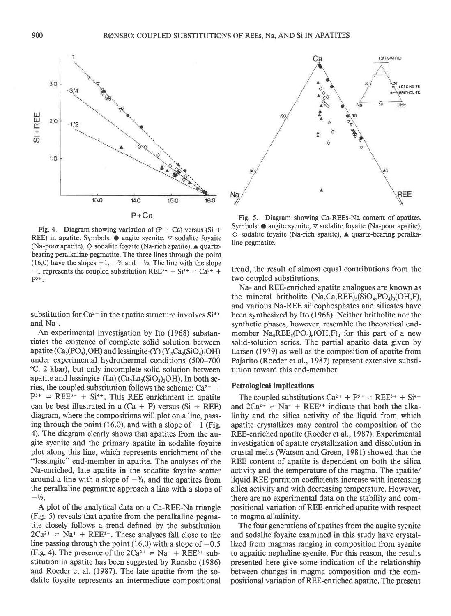



REE) in apatite. Symbols:  $\bullet$  augite syenite,  $\triangledown$  sodalite foyaite (Na-poor apatite),  $\diamond$  sodalite foyaite (Na-rich apatite),  $\blacktriangle$  quartzbearing peralkaline pegmatite. The three lines through the point (16,0) have the slopes  $-1$ ,  $-\frac{3}{4}$  and  $-\frac{1}{2}$ . The line with the slope  $-1$  represents the coupled substitution REE<sup>3+</sup> + Si<sup>4+</sup>  $\Rightarrow$  Ca<sup>2+</sup> +  $P<sup>5+</sup>$ .

substitution for  $Ca^{2+}$  in the apatite structure involves  $Si^{4+}$ and Na+.

An experimental investigation by Ito (1968) substantiates the existence of complete solid solution between apatite ( $Ca<sub>3</sub>(PO<sub>4</sub>)<sub>3</sub>OH$ ) and lessingite-(Y) (Y<sub>3</sub>Ca<sub>2</sub>(SiO<sub>4</sub>)<sub>2</sub>OH) under experimental hydrothermal conditions (500-700 'C, 2 kbar), but only incomplete solid solution between apatite and lessingite-(La)  $(Ca_2La_3(SiO_4)_3OH)$ . In both series, the coupled substitution follows the scheme:  $Ca^{2+}$  +  $P^{5+}$  = REE<sup>3+</sup> + Si<sup>4+</sup>. This REE enrichment in apatite can be best illustrated in a  $(Ca + P)$  versus  $(Si + REE)$ diagram, where the compositions will plot on a line, passing through the point (16,0), and with a slope of  $-1$  (Fig. 4). The diagram clearly shows that apatites from the augite syenite and the primary apatite in sodalite foyaite plot along this line, which represents enrichment of the "lessingite" end-member in apatite. The analyses of the Na-enriched, late apatite in the sodalite foyaite scatter around a line with a slope of  $-\frac{3}{4}$ , and the apatites from the peralkaline pegmatite approach a line with a slope of  $- \frac{1}{2}$ .

A plot of the analytical data on a Ca-REE-Na triangle (Fig. 5) reveals that apatite from the peralkaline pegmatite closely follows a trend defined by the substitution  $2Ca^{2+}$  = Na<sup>+</sup> + REE<sup>3+</sup>. These analyses fall close to the line passing through the point  $(16,0)$  with a slope of  $-0.5$ (Fig. 4). The presence of the  $2Ca^{2+} = Na^+ + REE^{3+}$  substitution in apatite has been suggested by Ronsbo (1986) and Roeder et al. (1987). The late apatite from the sodalite foyaite represents an intermediate compositional

Fig. 5. Diagram showing Ca-REEs-Na content of apatites. Symbols:  $\bullet$  augite syenite,  $\triangledown$  sodalite foyaite (Na-poor apatite),  $\diamond$  sodalite foyaite (Na-rich apatite),  $\triangle$  quartz-bearing peralkaline pegmatite.

trend, the result of almost equal contributions from the two coupled substitutions.

Na- and REE-enriched apatite analogues are known as the mineral britholite  $(Na, Ca,REE)_{5}(SiO_{4}, PO_{4})_{3}(OH, F)$ , and various Na-REE silicophosphates and silicates have been synthesized by Ito (1968). Neither britholite nor the synthetic phases, however, resemble the theoretical endmember  $Na<sub>5</sub>REE<sub>5</sub>(PO<sub>4</sub>)<sub>6</sub>(OH,F)<sub>2</sub>$  for this part of a new solid-solution series. The partial apatite data given by Larsen (1979) as well as the composition of apatite from Pajarito (Roeder et al., 1987) represent extensive substitution toward this end-member.

# Petrological implications

The coupled substitutions  $Ca^{2+} + P^{5+} \rightleftharpoons$  REE<sup>3+</sup> + Si<sup>4+</sup> and  $2Ca^{2+}$   $\Rightarrow$  Na<sup>+</sup>  $\div$  REE<sup>3+</sup> indicate that both the alkalinity and the silica activity of the liquid from which apatite crystallizes may control the composition of the REE-enriched apatite (Roeder et al., 1987). Experimental investigation of apatite crystallization and dissolution in crustal melts (Watson and Green, l98l) showed that the REE content of apatite is dependent on both the silica activity and the temperature of the magma. The apatite/ liquid REE partition coefficients increase with increasing silica activity and with decreasing temperature. However, there are no experimental data on the stability and compositional variation of REE-enriched apatite with respect to magma alkalinity.

The four generations of apatites from the augite syenite and sodalite foyaite examined in this study have crystallized from magmas ranging in composition from syenite to agpaitic nepheline syenite. For this reason, the results presented here give some indication of the relationship between changes in magma composition and the compositional variation of REE-enriched apatite. The present

 $3.0$ 

 $314$